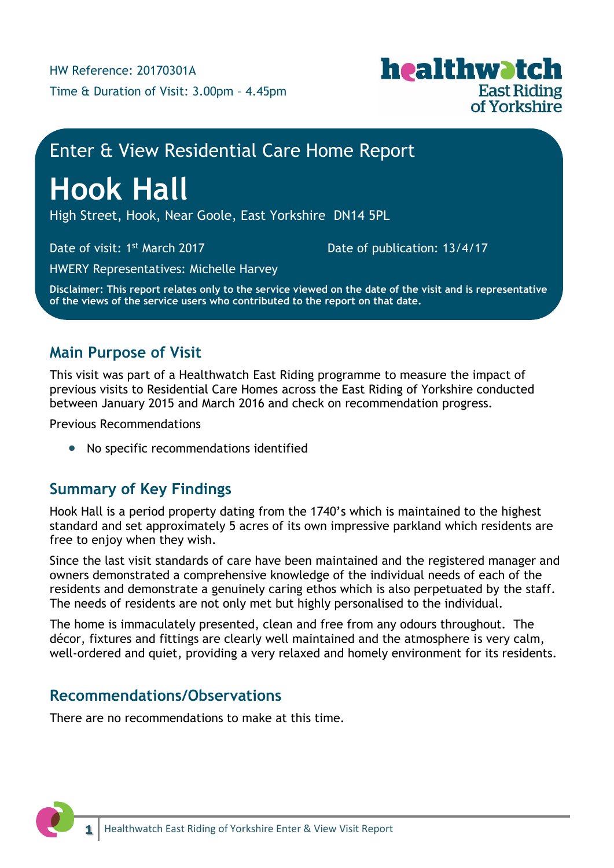

## Enter & View Residential Care Home Report

# **Hook Hall**

High Street, Hook, Near Goole, East Yorkshire DN14 5PL

Date of visit: 1<sup>st</sup> March 2017

Date of publication: 13/4/17

HWERY Representatives: Michelle Harvey

**Disclaimer: This report relates only to the service viewed on the date of the visit and is representative of the views of the service users who contributed to the report on that date.**

## **Main Purpose of Visit**

This visit was part of a Healthwatch East Riding programme to measure the impact of previous visits to Residential Care Homes across the East Riding of Yorkshire conducted between January 2015 and March 2016 and check on recommendation progress.

Previous Recommendations

• No specific recommendations identified

## **Summary of Key Findings**

Hook Hall is a period property dating from the 1740's which is maintained to the highest standard and set approximately 5 acres of its own impressive parkland which residents are free to enjoy when they wish.

Since the last visit standards of care have been maintained and the registered manager and owners demonstrated a comprehensive knowledge of the individual needs of each of the residents and demonstrate a genuinely caring ethos which is also perpetuated by the staff. The needs of residents are not only met but highly personalised to the individual.

The home is immaculately presented, clean and free from any odours throughout. The décor, fixtures and fittings are clearly well maintained and the atmosphere is very calm, well-ordered and quiet, providing a very relaxed and homely environment for its residents.

### **Recommendations/Observations**

There are no recommendations to make at this time.

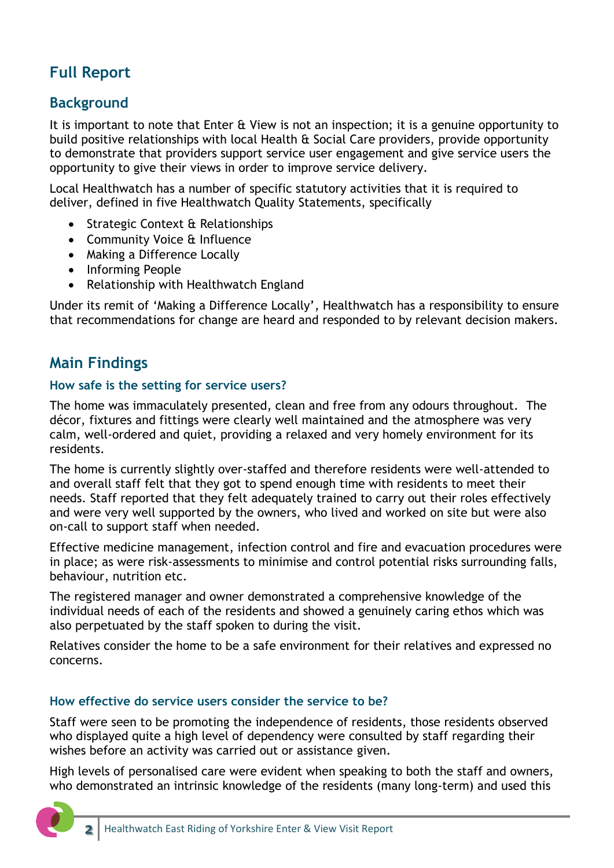## **Full Report**

## **Background**

It is important to note that Enter & View is not an inspection; it is a genuine opportunity to build positive relationships with local Health & Social Care providers, provide opportunity to demonstrate that providers support service user engagement and give service users the opportunity to give their views in order to improve service delivery.

Local Healthwatch has a number of specific statutory activities that it is required to deliver, defined in five Healthwatch Quality Statements, specifically

- Strategic Context & Relationships
- Community Voice & Influence
- Making a Difference Locally
- Informing People
- Relationship with Healthwatch England

Under its remit of 'Making a Difference Locally', Healthwatch has a responsibility to ensure that recommendations for change are heard and responded to by relevant decision makers.

## **Main Findings**

#### **How safe is the setting for service users?**

The home was immaculately presented, clean and free from any odours throughout. The décor, fixtures and fittings were clearly well maintained and the atmosphere was very calm, well-ordered and quiet, providing a relaxed and very homely environment for its residents.

The home is currently slightly over-staffed and therefore residents were well-attended to and overall staff felt that they got to spend enough time with residents to meet their needs. Staff reported that they felt adequately trained to carry out their roles effectively and were very well supported by the owners, who lived and worked on site but were also on-call to support staff when needed.

Effective medicine management, infection control and fire and evacuation procedures were in place; as were risk-assessments to minimise and control potential risks surrounding falls, behaviour, nutrition etc.

The registered manager and owner demonstrated a comprehensive knowledge of the individual needs of each of the residents and showed a genuinely caring ethos which was also perpetuated by the staff spoken to during the visit.

Relatives consider the home to be a safe environment for their relatives and expressed no concerns.

#### **How effective do service users consider the service to be?**

Staff were seen to be promoting the independence of residents, those residents observed who displayed quite a high level of dependency were consulted by staff regarding their wishes before an activity was carried out or assistance given.

High levels of personalised care were evident when speaking to both the staff and owners, who demonstrated an intrinsic knowledge of the residents (many long-term) and used this

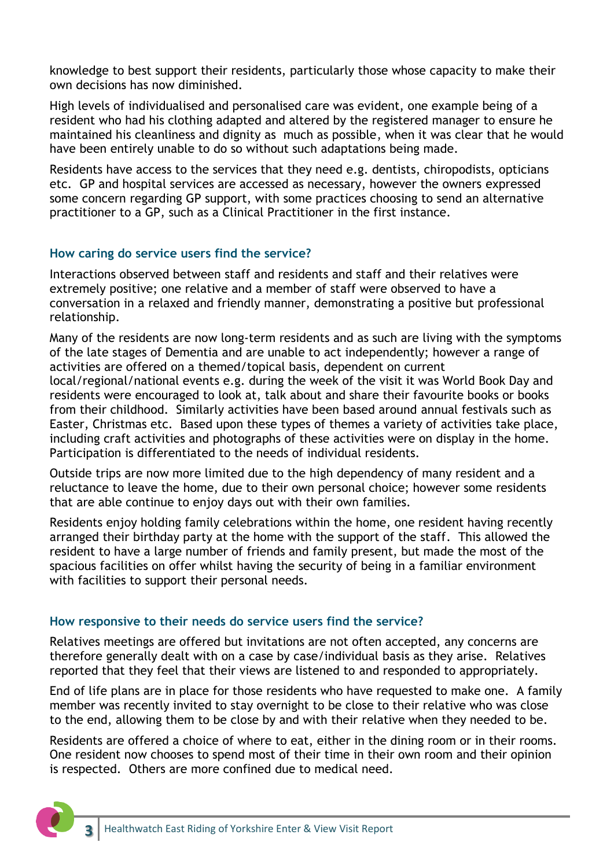knowledge to best support their residents, particularly those whose capacity to make their own decisions has now diminished.

High levels of individualised and personalised care was evident, one example being of a resident who had his clothing adapted and altered by the registered manager to ensure he maintained his cleanliness and dignity as much as possible, when it was clear that he would have been entirely unable to do so without such adaptations being made.

Residents have access to the services that they need e.g. dentists, chiropodists, opticians etc. GP and hospital services are accessed as necessary, however the owners expressed some concern regarding GP support, with some practices choosing to send an alternative practitioner to a GP, such as a Clinical Practitioner in the first instance.

#### **How caring do service users find the service?**

Interactions observed between staff and residents and staff and their relatives were extremely positive; one relative and a member of staff were observed to have a conversation in a relaxed and friendly manner, demonstrating a positive but professional relationship.

Many of the residents are now long-term residents and as such are living with the symptoms of the late stages of Dementia and are unable to act independently; however a range of activities are offered on a themed/topical basis, dependent on current

local/regional/national events e.g. during the week of the visit it was World Book Day and residents were encouraged to look at, talk about and share their favourite books or books from their childhood. Similarly activities have been based around annual festivals such as Easter, Christmas etc. Based upon these types of themes a variety of activities take place, including craft activities and photographs of these activities were on display in the home. Participation is differentiated to the needs of individual residents.

Outside trips are now more limited due to the high dependency of many resident and a reluctance to leave the home, due to their own personal choice; however some residents that are able continue to enjoy days out with their own families.

Residents enjoy holding family celebrations within the home, one resident having recently arranged their birthday party at the home with the support of the staff. This allowed the resident to have a large number of friends and family present, but made the most of the spacious facilities on offer whilst having the security of being in a familiar environment with facilities to support their personal needs.

#### **How responsive to their needs do service users find the service?**

Relatives meetings are offered but invitations are not often accepted, any concerns are therefore generally dealt with on a case by case/individual basis as they arise. Relatives reported that they feel that their views are listened to and responded to appropriately.

End of life plans are in place for those residents who have requested to make one. A family member was recently invited to stay overnight to be close to their relative who was close to the end, allowing them to be close by and with their relative when they needed to be.

Residents are offered a choice of where to eat, either in the dining room or in their rooms. One resident now chooses to spend most of their time in their own room and their opinion is respected. Others are more confined due to medical need.